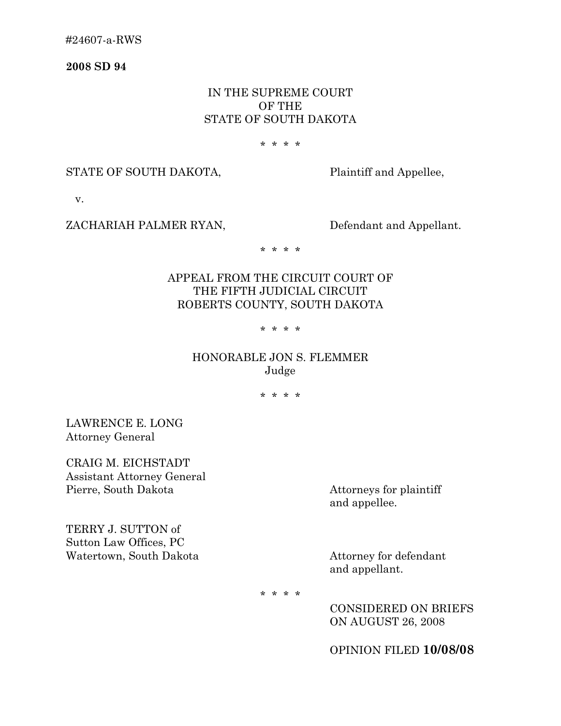**2008 SD 94** 

### IN THE SUPREME COURT OF THE STATE OF SOUTH DAKOTA

#### \* \* \* \*

#### STATE OF SOUTH DAKOTA, Plaintiff and Appellee,

v.

#### ZACHARIAH PALMER RYAN, Defendant and Appellant.

\* \* \* \*

# APPEAL FROM THE CIRCUIT COURT OF THE FIFTH JUDICIAL CIRCUIT ROBERTS COUNTY, SOUTH DAKOTA

#### \* \* \* \*

## HONORABLE JON S. FLEMMER Judge

\* \* \* \*

LAWRENCE E. LONG Attorney General

CRAIG M. EICHSTADT Assistant Attorney General Pierre, South Dakota Attorneys for plaintiff

and appellee.

TERRY J. SUTTON of Sutton Law Offices, PC Watertown, South Dakota Attorney for defendant

and appellant.

\* \* \* \*

CONSIDERED ON BRIEFS ON AUGUST 26, 2008

OPINION FILED **10/08/08**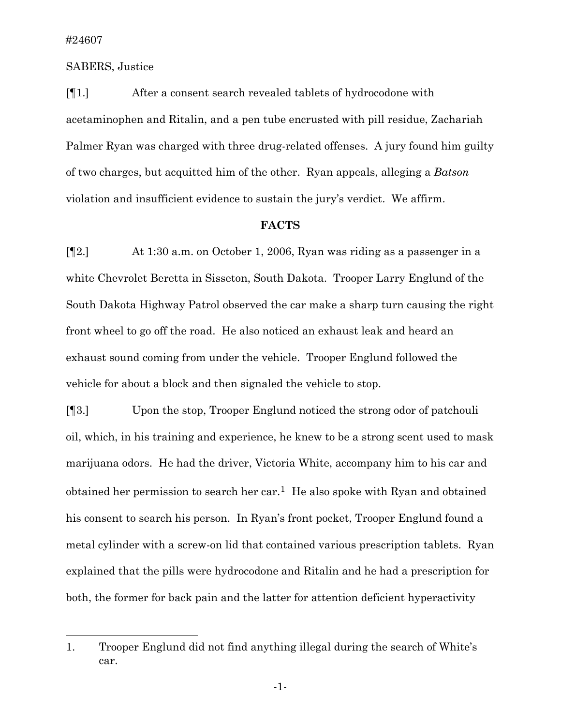l

#### SABERS, Justice

[¶1.] After a consent search revealed tablets of hydrocodone with acetaminophen and Ritalin, and a pen tube encrusted with pill residue, Zachariah Palmer Ryan was charged with three drug-related offenses. A jury found him guilty of two charges, but acquitted him of the other. Ryan appeals, alleging a *Batson* violation and insufficient evidence to sustain the jury's verdict. We affirm.

#### **FACTS**

[¶2.] At 1:30 a.m. on October 1, 2006, Ryan was riding as a passenger in a white Chevrolet Beretta in Sisseton, South Dakota. Trooper Larry Englund of the South Dakota Highway Patrol observed the car make a sharp turn causing the right front wheel to go off the road. He also noticed an exhaust leak and heard an exhaust sound coming from under the vehicle. Trooper Englund followed the vehicle for about a block and then signaled the vehicle to stop.

[¶3.] Upon the stop, Trooper Englund noticed the strong odor of patchouli oil, which, in his training and experience, he knew to be a strong scent used to mask marijuana odors. He had the driver, Victoria White, accompany him to his car and obtained her permission to search her car.[1](#page-1-0) He also spoke with Ryan and obtained his consent to search his person. In Ryan's front pocket, Trooper Englund found a metal cylinder with a screw-on lid that contained various prescription tablets. Ryan explained that the pills were hydrocodone and Ritalin and he had a prescription for both, the former for back pain and the latter for attention deficient hyperactivity

<span id="page-1-0"></span><sup>1.</sup> Trooper Englund did not find anything illegal during the search of White's car.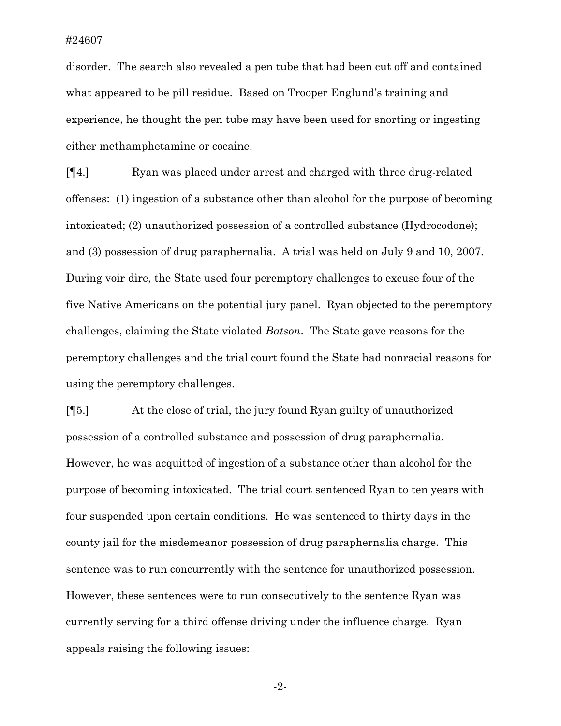disorder. The search also revealed a pen tube that had been cut off and contained what appeared to be pill residue. Based on Trooper Englund's training and experience, he thought the pen tube may have been used for snorting or ingesting either methamphetamine or cocaine.

[¶4.] Ryan was placed under arrest and charged with three drug-related offenses: (1) ingestion of a substance other than alcohol for the purpose of becoming intoxicated; (2) unauthorized possession of a controlled substance (Hydrocodone); and (3) possession of drug paraphernalia. A trial was held on July 9 and 10, 2007. During voir dire, the State used four peremptory challenges to excuse four of the five Native Americans on the potential jury panel. Ryan objected to the peremptory challenges, claiming the State violated *Batson*. The State gave reasons for the peremptory challenges and the trial court found the State had nonracial reasons for using the peremptory challenges.

[¶5.] At the close of trial, the jury found Ryan guilty of unauthorized possession of a controlled substance and possession of drug paraphernalia. However, he was acquitted of ingestion of a substance other than alcohol for the purpose of becoming intoxicated. The trial court sentenced Ryan to ten years with four suspended upon certain conditions. He was sentenced to thirty days in the county jail for the misdemeanor possession of drug paraphernalia charge. This sentence was to run concurrently with the sentence for unauthorized possession. However, these sentences were to run consecutively to the sentence Ryan was currently serving for a third offense driving under the influence charge. Ryan appeals raising the following issues:

-2-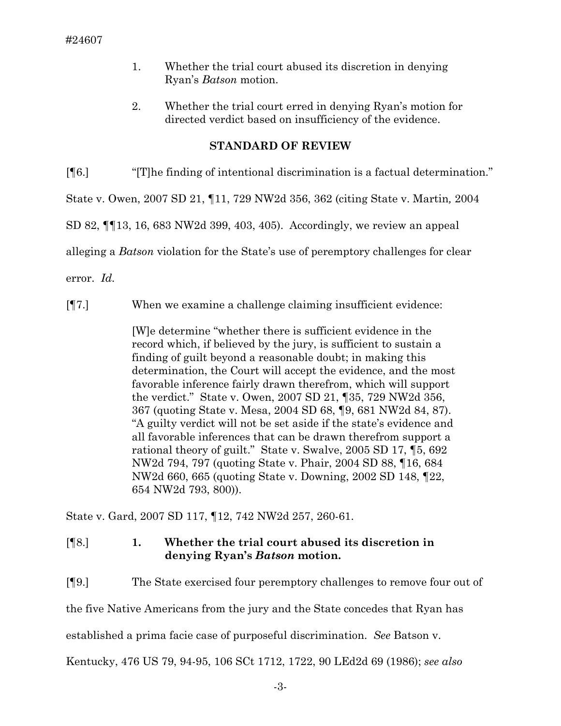- 1. Whether the trial court abused its discretion in denying Ryan's *Batson* motion.
- 2. Whether the trial court erred in denying Ryan's motion for directed verdict based on insufficiency of the evidence.

## **STANDARD OF REVIEW**

[¶6.] "[T]he finding of intentional discrimination is a factual determination."

State v. Owen, 2007 SD 21, ¶11, 729 NW2d 356, 362 (citing State v. Martin*,* 2004

SD 82, ¶¶13, 16, 683 NW2d 399, 403, 405). Accordingly, we review an appeal

alleging a *Batson* violation for the State's use of peremptory challenges for clear

error. *Id.* 

[¶7.] When we examine a challenge claiming insufficient evidence:

[W]e determine "whether there is sufficient evidence in the record which, if believed by the jury, is sufficient to sustain a finding of guilt beyond a reasonable doubt; in making this determination, the Court will accept the evidence, and the most favorable inference fairly drawn therefrom, which will support the verdict." State v. Owen, 2007 SD 21, ¶35, 729 NW2d 356, 367 (quoting State v. Mesa, 2004 SD 68, ¶9, 681 NW2d 84, 87). "A guilty verdict will not be set aside if the state's evidence and all favorable inferences that can be drawn therefrom support a rational theory of guilt." State v. Swalve, 2005 SD 17, ¶5, 692 NW2d 794, 797 (quoting State v. Phair, 2004 SD 88, ¶16, 684 NW2d 660, 665 (quoting State v. Downing, 2002 SD 148, ¶22, 654 NW2d 793, 800)).

State v. Gard, 2007 SD 117, ¶12, 742 NW2d 257, 260-61.

# [¶8.] **1. Whether the trial court abused its discretion in denying Ryan's** *Batson* **motion.**

[¶9.] The State exercised four peremptory challenges to remove four out of the five Native Americans from the jury and the State concedes that Ryan has established a prima facie case of purposeful discrimination. *See* Batson v. Kentucky, 476 US 79, 94-95, 106 SCt 1712, 1722, 90 LEd2d 69 (1986); *see also*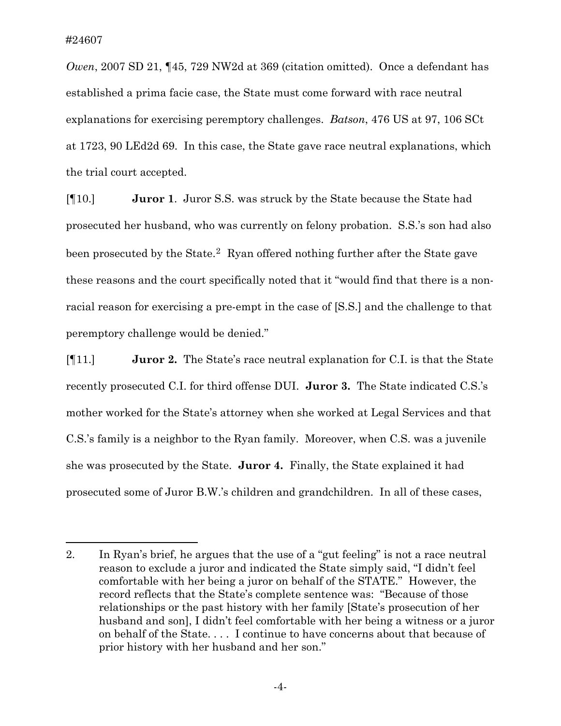$\overline{a}$ 

*Owen*, 2007 SD 21, ¶45, 729 NW2d at 369 (citation omitted). Once a defendant has established a prima facie case, the State must come forward with race neutral explanations for exercising peremptory challenges. *Batson*, 476 US at 97, 106 SCt at 1723, 90 LEd2d 69. In this case, the State gave race neutral explanations, which the trial court accepted.

[¶10.] **Juror 1**. Juror S.S. was struck by the State because the State had prosecuted her husband, who was currently on felony probation. S.S.'s son had also been prosecuted by the State.<sup>[2](#page-4-0)</sup> Ryan offered nothing further after the State gave these reasons and the court specifically noted that it "would find that there is a nonracial reason for exercising a pre-empt in the case of [S.S.] and the challenge to that peremptory challenge would be denied."

[¶11.] **Juror 2.** The State's race neutral explanation for C.I. is that the State recently prosecuted C.I. for third offense DUI. **Juror 3.** The State indicated C.S.'s mother worked for the State's attorney when she worked at Legal Services and that C.S.'s family is a neighbor to the Ryan family. Moreover, when C.S. was a juvenile she was prosecuted by the State. **Juror 4.** Finally, the State explained it had prosecuted some of Juror B.W.'s children and grandchildren. In all of these cases,

<span id="page-4-0"></span><sup>2.</sup> In Ryan's brief, he argues that the use of a "gut feeling" is not a race neutral reason to exclude a juror and indicated the State simply said, "I didn't feel comfortable with her being a juror on behalf of the STATE." However, the record reflects that the State's complete sentence was: "Because of those relationships or the past history with her family [State's prosecution of her husband and son], I didn't feel comfortable with her being a witness or a juror on behalf of the State. . . . I continue to have concerns about that because of prior history with her husband and her son."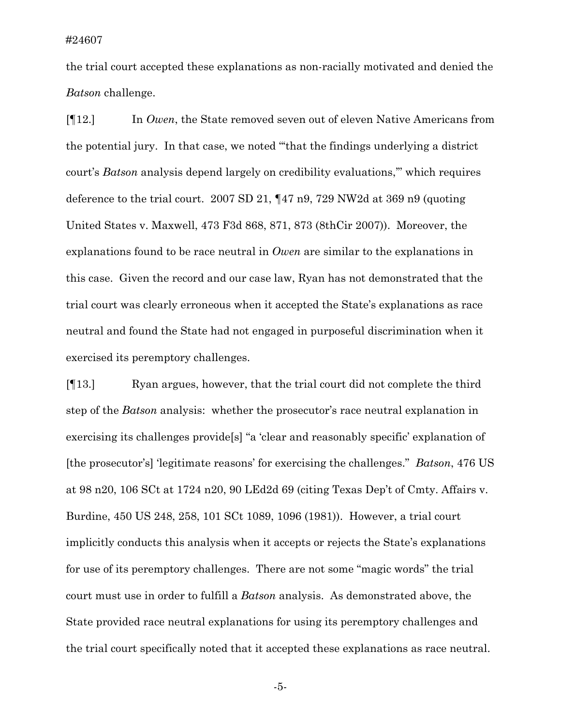the trial court accepted these explanations as non-racially motivated and denied the *Batson* challenge.

[¶12.] In *Owen*, the State removed seven out of eleven Native Americans from the potential jury. In that case, we noted "'that the findings underlying a district court's *Batson* analysis depend largely on credibility evaluations,'" which requires deference to the trial court. 2007 SD 21, ¶47 n9, 729 NW2d at 369 n9 (quoting United States v. Maxwell, 473 F3d 868, 871, 873 (8thCir 2007)). Moreover, the explanations found to be race neutral in *Owen* are similar to the explanations in this case. Given the record and our case law, Ryan has not demonstrated that the trial court was clearly erroneous when it accepted the State's explanations as race neutral and found the State had not engaged in purposeful discrimination when it exercised its peremptory challenges.

[¶13.] Ryan argues, however, that the trial court did not complete the third step of the *Batson* analysis: whether the prosecutor's race neutral explanation in exercising its challenges provide[s] "a 'clear and reasonably specific' explanation of [the prosecutor's] 'legitimate reasons' for exercising the challenges." *Batson*, 476 US at 98 n20, 106 SCt at 1724 n20, 90 LEd2d 69 (citing Texas Dep't of Cmty. Affairs v. Burdine, 450 US 248, 258, 101 SCt 1089, 1096 (1981)). However, a trial court implicitly conducts this analysis when it accepts or rejects the State's explanations for use of its peremptory challenges. There are not some "magic words" the trial court must use in order to fulfill a *Batson* analysis. As demonstrated above, the State provided race neutral explanations for using its peremptory challenges and the trial court specifically noted that it accepted these explanations as race neutral.

-5-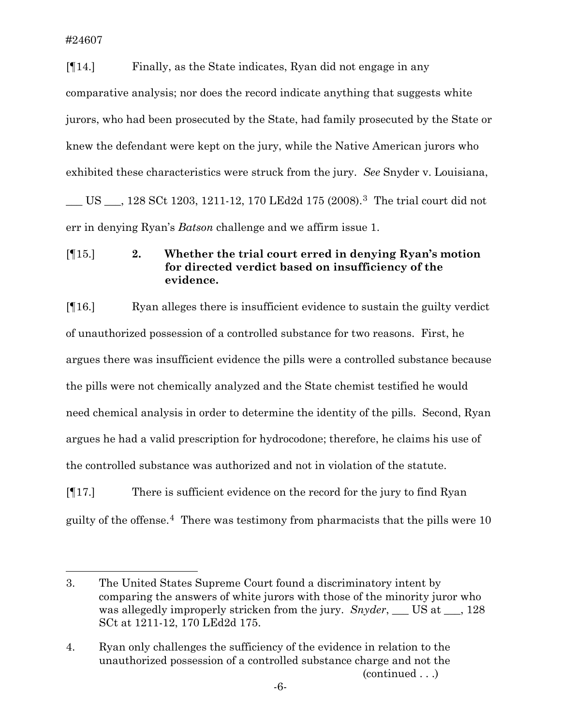$\overline{a}$ 

[¶14.] Finally, as the State indicates, Ryan did not engage in any comparative analysis; nor does the record indicate anything that suggests white jurors, who had been prosecuted by the State, had family prosecuted by the State or knew the defendant were kept on the jury, while the Native American jurors who exhibited these characteristics were struck from the jury. *See* Snyder v. Louisiana, \_\_\_ US \_\_\_, 128 SCt 1203, 1211-12, 170 LEd2d 175 (2008).[3](#page-6-0) The trial court did not err in denying Ryan's *Batson* challenge and we affirm issue 1.

[¶15.] **2. Whether the trial court erred in denying Ryan's motion for directed verdict based on insufficiency of the evidence.** 

[¶16.] Ryan alleges there is insufficient evidence to sustain the guilty verdict of unauthorized possession of a controlled substance for two reasons. First, he argues there was insufficient evidence the pills were a controlled substance because the pills were not chemically analyzed and the State chemist testified he would need chemical analysis in order to determine the identity of the pills. Second, Ryan argues he had a valid prescription for hydrocodone; therefore, he claims his use of the controlled substance was authorized and not in violation of the statute.

[¶17.] There is sufficient evidence on the record for the jury to find Ryan guilty of the offense.<sup>[4](#page-6-1)</sup> There was testimony from pharmacists that the pills were  $10$ 

<span id="page-6-0"></span><sup>3.</sup> The United States Supreme Court found a discriminatory intent by comparing the answers of white jurors with those of the minority juror who was allegedly improperly stricken from the jury. *Snyder*, <u>US at 3.128</u> SCt at 1211-12, 170 LEd2d 175.

<span id="page-6-1"></span> <sup>(</sup>continued . . .) 4. Ryan only challenges the sufficiency of the evidence in relation to the unauthorized possession of a controlled substance charge and not the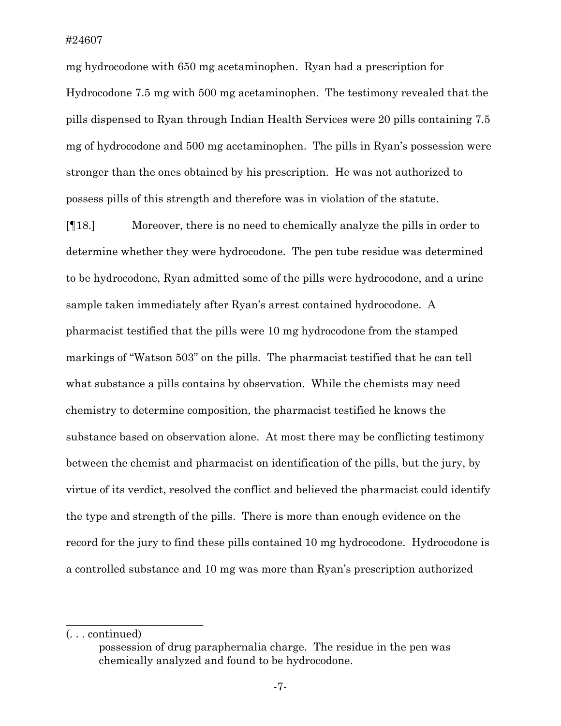mg hydrocodone with 650 mg acetaminophen. Ryan had a prescription for Hydrocodone 7.5 mg with 500 mg acetaminophen. The testimony revealed that the pills dispensed to Ryan through Indian Health Services were 20 pills containing 7.5 mg of hydrocodone and 500 mg acetaminophen. The pills in Ryan's possession were stronger than the ones obtained by his prescription. He was not authorized to possess pills of this strength and therefore was in violation of the statute.

[¶18.] Moreover, there is no need to chemically analyze the pills in order to determine whether they were hydrocodone. The pen tube residue was determined to be hydrocodone, Ryan admitted some of the pills were hydrocodone, and a urine sample taken immediately after Ryan's arrest contained hydrocodone. A pharmacist testified that the pills were 10 mg hydrocodone from the stamped markings of "Watson 503" on the pills. The pharmacist testified that he can tell what substance a pills contains by observation. While the chemists may need chemistry to determine composition, the pharmacist testified he knows the substance based on observation alone. At most there may be conflicting testimony between the chemist and pharmacist on identification of the pills, but the jury, by virtue of its verdict, resolved the conflict and believed the pharmacist could identify the type and strength of the pills. There is more than enough evidence on the record for the jury to find these pills contained 10 mg hydrocodone. Hydrocodone is a controlled substance and 10 mg was more than Ryan's prescription authorized

\_\_\_\_\_\_\_\_\_\_\_\_\_\_\_\_\_\_\_\_\_\_\_\_\_

<sup>(. . .</sup> continued)

possession of drug paraphernalia charge. The residue in the pen was chemically analyzed and found to be hydrocodone.